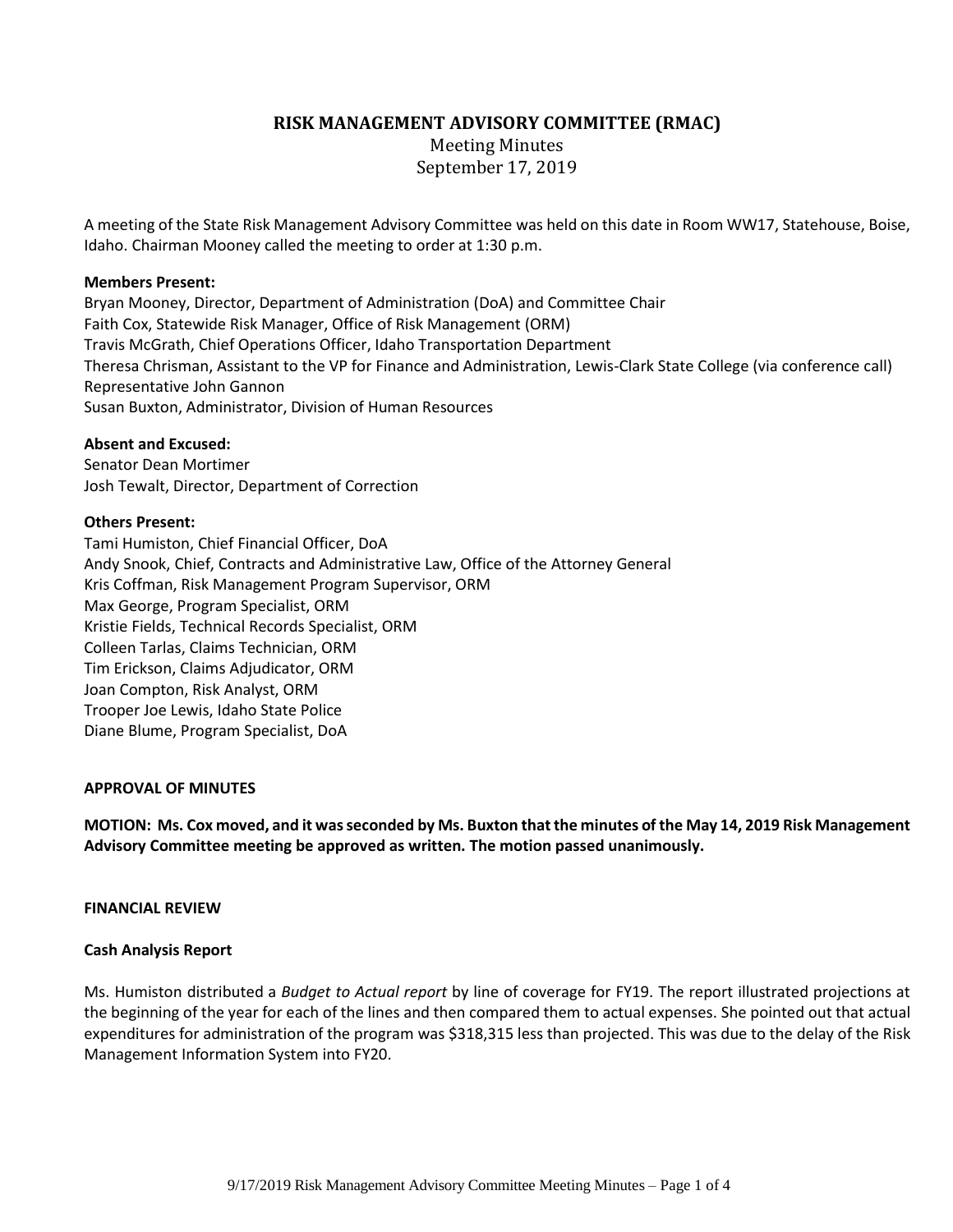**RISK MANAGEMENT ADVISORY COMMITTEE (RMAC)**

Meeting Minutes September 17, 2019

A meeting of the State Risk Management Advisory Committee was held on this date in Room WW17, Statehouse, Boise, Idaho. Chairman Mooney called the meeting to order at 1:30 p.m.

### **Members Present:**

Bryan Mooney, Director, Department of Administration (DoA) and Committee Chair Faith Cox, Statewide Risk Manager, Office of Risk Management (ORM) Travis McGrath, Chief Operations Officer, Idaho Transportation Department Theresa Chrisman, Assistant to the VP for Finance and Administration, Lewis-Clark State College (via conference call) Representative John Gannon Susan Buxton, Administrator, Division of Human Resources

### **Absent and Excused:**

Senator Dean Mortimer Josh Tewalt, Director, Department of Correction

### **Others Present:**

Tami Humiston, Chief Financial Officer, DoA Andy Snook, Chief, Contracts and Administrative Law, Office of the Attorney General Kris Coffman, Risk Management Program Supervisor, ORM Max George, Program Specialist, ORM Kristie Fields, Technical Records Specialist, ORM Colleen Tarlas, Claims Technician, ORM Tim Erickson, Claims Adjudicator, ORM Joan Compton, Risk Analyst, ORM Trooper Joe Lewis, Idaho State Police Diane Blume, Program Specialist, DoA

#### **APPROVAL OF MINUTES**

**MOTION: Ms. Cox moved, and it was seconded by Ms. Buxton that the minutes of the May 14, 2019 Risk Management Advisory Committee meeting be approved as written. The motion passed unanimously.**

#### **FINANCIAL REVIEW**

#### **Cash Analysis Report**

Ms. Humiston distributed a *Budget to Actual report* by line of coverage for FY19. The report illustrated projections at the beginning of the year for each of the lines and then compared them to actual expenses. She pointed out that actual expenditures for administration of the program was \$318,315 less than projected. This was due to the delay of the Risk Management Information System into FY20.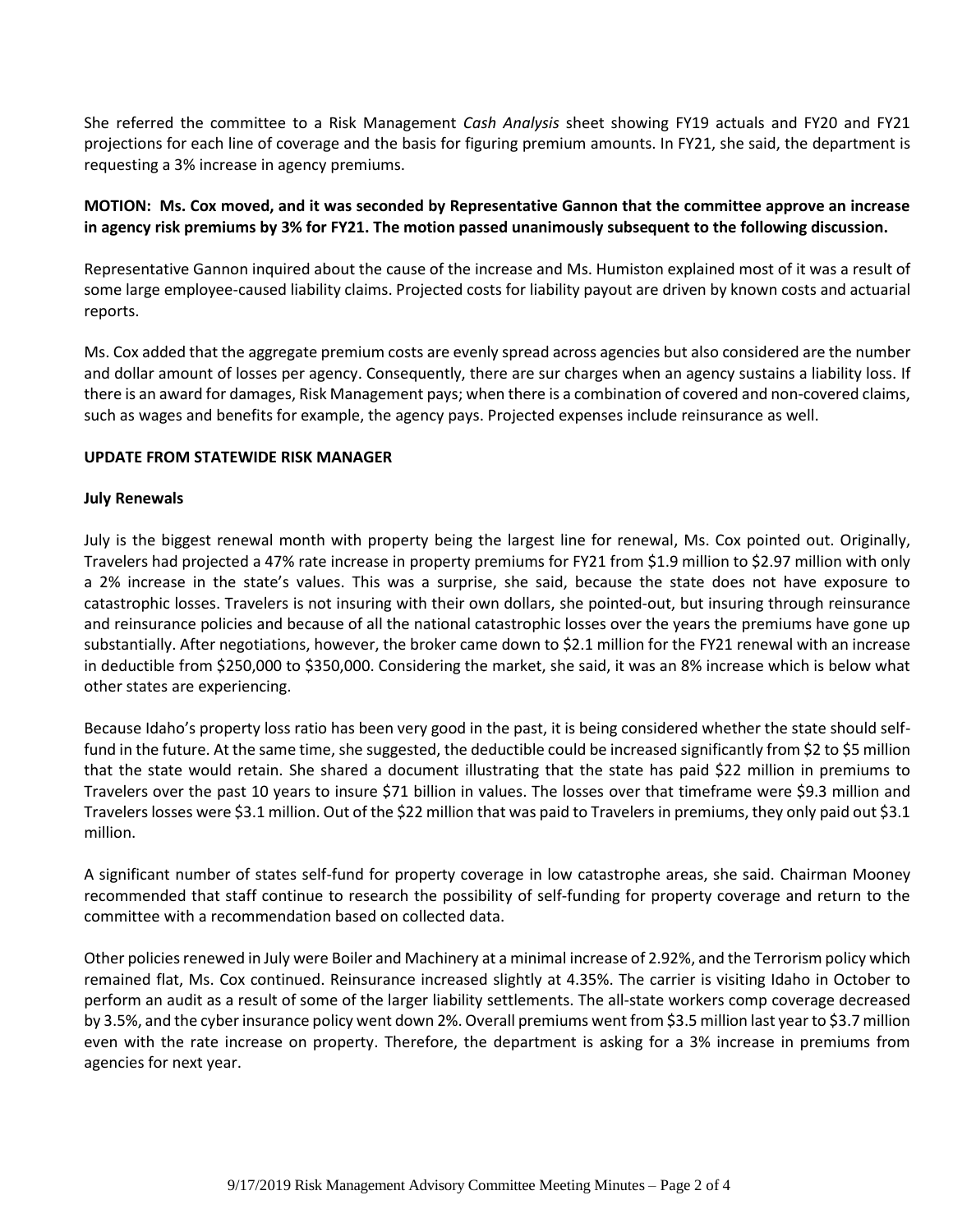She referred the committee to a Risk Management *Cash Analysis* sheet showing FY19 actuals and FY20 and FY21 projections for each line of coverage and the basis for figuring premium amounts. In FY21, she said, the department is requesting a 3% increase in agency premiums.

# **MOTION: Ms. Cox moved, and it was seconded by Representative Gannon that the committee approve an increase in agency risk premiums by 3% for FY21. The motion passed unanimously subsequent to the following discussion.**

Representative Gannon inquired about the cause of the increase and Ms. Humiston explained most of it was a result of some large employee-caused liability claims. Projected costs for liability payout are driven by known costs and actuarial reports.

Ms. Cox added that the aggregate premium costs are evenly spread across agencies but also considered are the number and dollar amount of losses per agency. Consequently, there are sur charges when an agency sustains a liability loss. If there is an award for damages, Risk Management pays; when there is a combination of covered and non-covered claims, such as wages and benefits for example, the agency pays. Projected expenses include reinsurance as well.

## **UPDATE FROM STATEWIDE RISK MANAGER**

## **July Renewals**

July is the biggest renewal month with property being the largest line for renewal, Ms. Cox pointed out. Originally, Travelers had projected a 47% rate increase in property premiums for FY21 from \$1.9 million to \$2.97 million with only a 2% increase in the state's values. This was a surprise, she said, because the state does not have exposure to catastrophic losses. Travelers is not insuring with their own dollars, she pointed-out, but insuring through reinsurance and reinsurance policies and because of all the national catastrophic losses over the years the premiums have gone up substantially. After negotiations, however, the broker came down to \$2.1 million for the FY21 renewal with an increase in deductible from \$250,000 to \$350,000. Considering the market, she said, it was an 8% increase which is below what other states are experiencing.

Because Idaho's property loss ratio has been very good in the past, it is being considered whether the state should selffund in the future. At the same time, she suggested, the deductible could be increased significantly from \$2 to \$5 million that the state would retain. She shared a document illustrating that the state has paid \$22 million in premiums to Travelers over the past 10 years to insure \$71 billion in values. The losses over that timeframe were \$9.3 million and Travelers losses were \$3.1 million. Out of the \$22 million that was paid to Travelers in premiums, they only paid out \$3.1 million.

A significant number of states self-fund for property coverage in low catastrophe areas, she said. Chairman Mooney recommended that staff continue to research the possibility of self-funding for property coverage and return to the committee with a recommendation based on collected data.

Other policies renewed in July were Boiler and Machinery at a minimal increase of 2.92%, and the Terrorism policy which remained flat, Ms. Cox continued. Reinsurance increased slightly at 4.35%. The carrier is visiting Idaho in October to perform an audit as a result of some of the larger liability settlements. The all-state workers comp coverage decreased by 3.5%, and the cyber insurance policy went down 2%. Overall premiums went from \$3.5 million last year to \$3.7 million even with the rate increase on property. Therefore, the department is asking for a 3% increase in premiums from agencies for next year.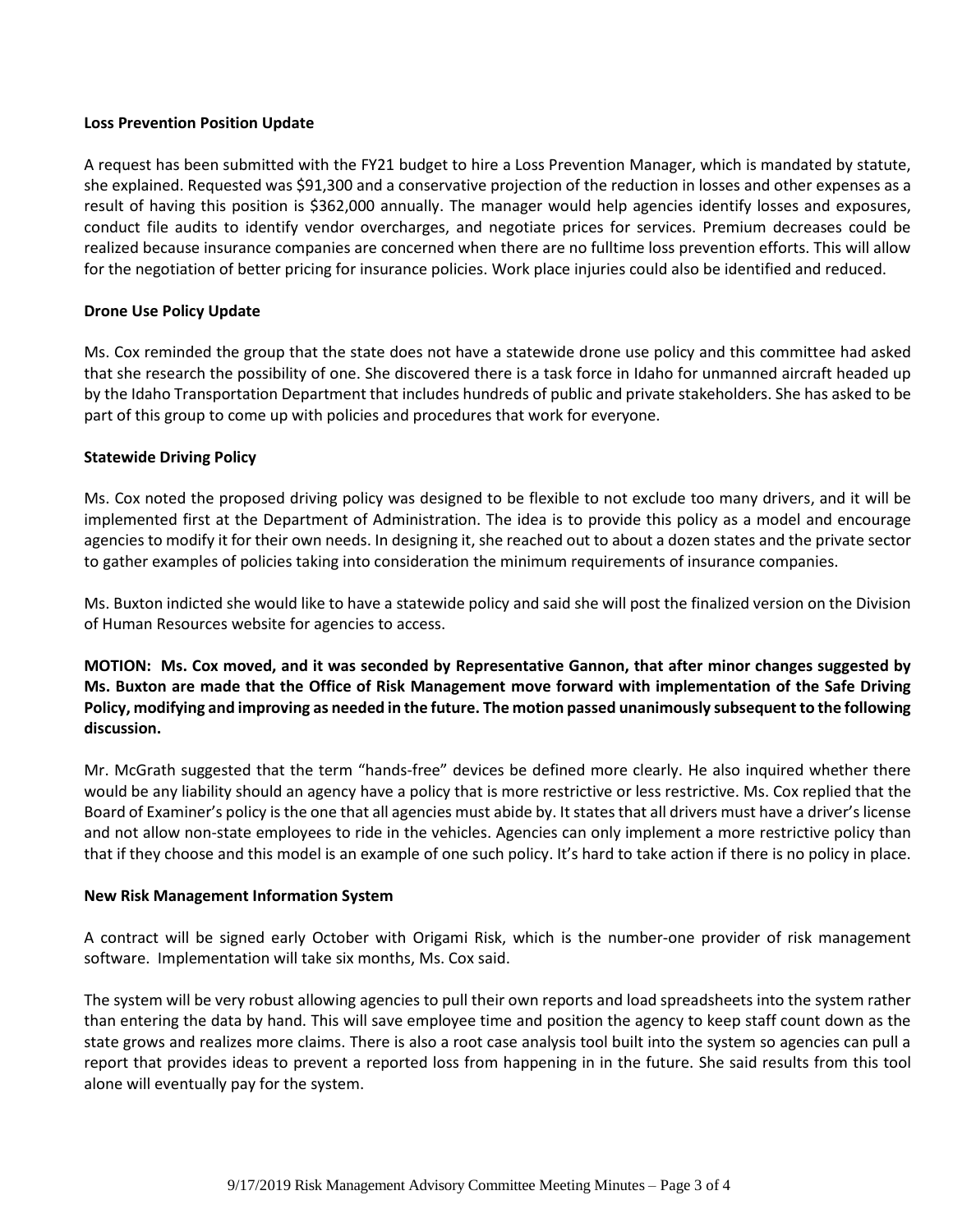### **Loss Prevention Position Update**

A request has been submitted with the FY21 budget to hire a Loss Prevention Manager, which is mandated by statute, she explained. Requested was \$91,300 and a conservative projection of the reduction in losses and other expenses as a result of having this position is \$362,000 annually. The manager would help agencies identify losses and exposures, conduct file audits to identify vendor overcharges, and negotiate prices for services. Premium decreases could be realized because insurance companies are concerned when there are no fulltime loss prevention efforts. This will allow for the negotiation of better pricing for insurance policies. Work place injuries could also be identified and reduced.

## **Drone Use Policy Update**

Ms. Cox reminded the group that the state does not have a statewide drone use policy and this committee had asked that she research the possibility of one. She discovered there is a task force in Idaho for unmanned aircraft headed up by the Idaho Transportation Department that includes hundreds of public and private stakeholders. She has asked to be part of this group to come up with policies and procedures that work for everyone.

## **Statewide Driving Policy**

Ms. Cox noted the proposed driving policy was designed to be flexible to not exclude too many drivers, and it will be implemented first at the Department of Administration. The idea is to provide this policy as a model and encourage agencies to modify it for their own needs. In designing it, she reached out to about a dozen states and the private sector to gather examples of policies taking into consideration the minimum requirements of insurance companies.

Ms. Buxton indicted she would like to have a statewide policy and said she will post the finalized version on the Division of Human Resources website for agencies to access.

**MOTION: Ms. Cox moved, and it was seconded by Representative Gannon, that after minor changes suggested by Ms. Buxton are made that the Office of Risk Management move forward with implementation of the Safe Driving Policy, modifying and improving as needed in the future. The motion passed unanimously subsequent to the following discussion.**

Mr. McGrath suggested that the term "hands-free" devices be defined more clearly. He also inquired whether there would be any liability should an agency have a policy that is more restrictive or less restrictive. Ms. Cox replied that the Board of Examiner's policy is the one that all agencies must abide by. It states that all drivers must have a driver's license and not allow non-state employees to ride in the vehicles. Agencies can only implement a more restrictive policy than that if they choose and this model is an example of one such policy. It's hard to take action if there is no policy in place.

## **New Risk Management Information System**

A contract will be signed early October with Origami Risk, which is the number-one provider of risk management software. Implementation will take six months, Ms. Cox said.

The system will be very robust allowing agencies to pull their own reports and load spreadsheets into the system rather than entering the data by hand. This will save employee time and position the agency to keep staff count down as the state grows and realizes more claims. There is also a root case analysis tool built into the system so agencies can pull a report that provides ideas to prevent a reported loss from happening in in the future. She said results from this tool alone will eventually pay for the system.